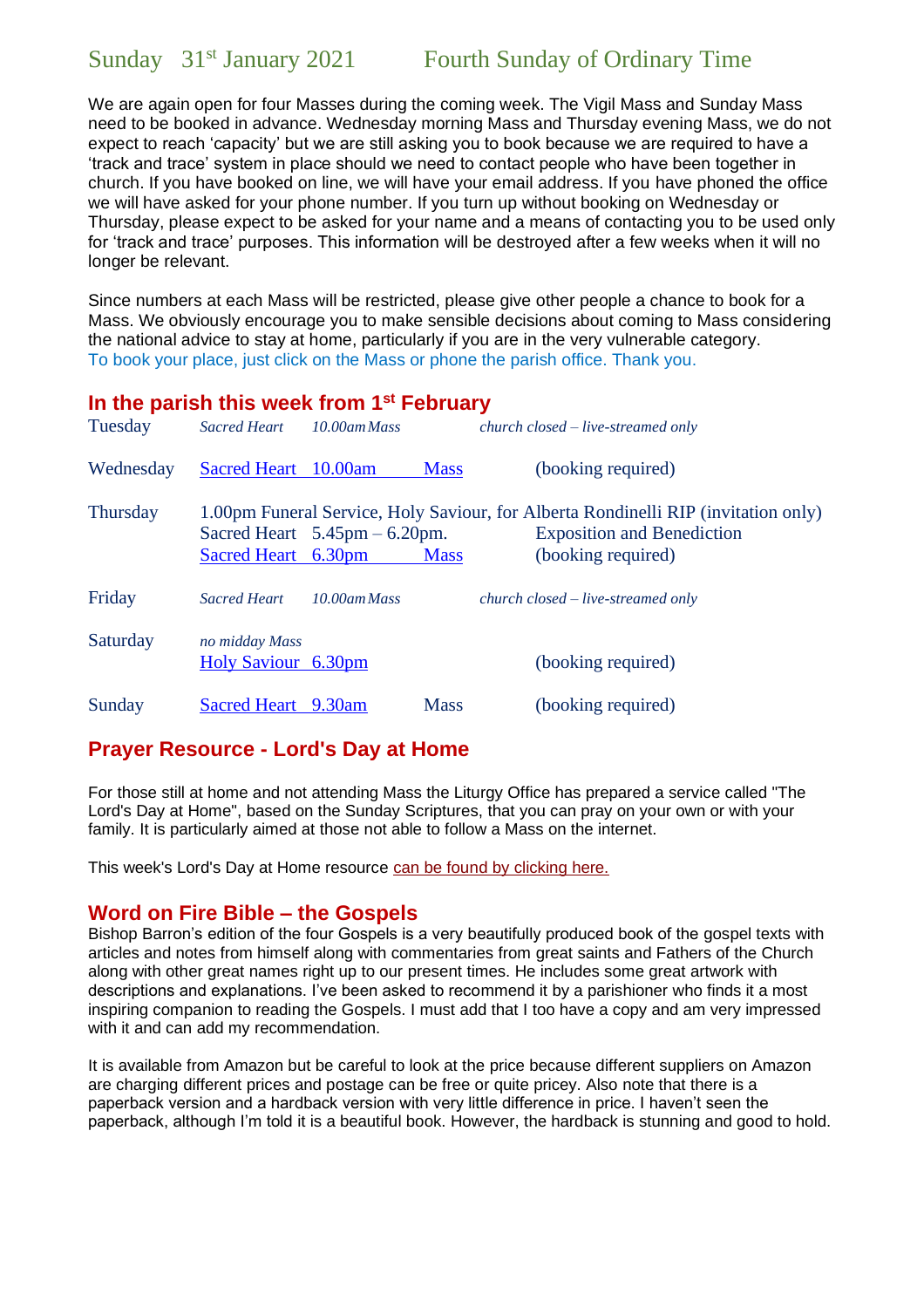We are again open for four Masses during the coming week. The Vigil Mass and Sunday Mass need to be booked in advance. Wednesday morning Mass and Thursday evening Mass, we do not expect to reach 'capacity' but we are still asking you to book because we are required to have a 'track and trace' system in place should we need to contact people who have been together in church. If you have booked on line, we will have your email address. If you have phoned the office we will have asked for your phone number. If you turn up without booking on Wednesday or Thursday, please expect to be asked for your name and a means of contacting you to be used only for 'track and trace' purposes. This information will be destroyed after a few weeks when it will no longer be relevant.

Since numbers at each Mass will be restricted, please give other people a chance to book for a Mass. We obviously encourage you to make sensible decisions about coming to Mass considering the national advice to stay at home, particularly if you are in the very vulnerable category. To book your place, just click on the Mass or phone the parish office. Thank you.

#### **In the parish this week from 1st February**

| Tuesday         | <b>Sacred Heart</b>                                                                | 10.00am Mass |             | $church closed-live-streamed only$ |  |
|-----------------|------------------------------------------------------------------------------------|--------------|-------------|------------------------------------|--|
| Wednesday       | Sacred Heart 10.00am                                                               |              | <b>Mass</b> | (booking required)                 |  |
| <b>Thursday</b> | 1.00pm Funeral Service, Holy Saviour, for Alberta Rondinelli RIP (invitation only) |              |             |                                    |  |
|                 | Sacred Heart $5.45 \text{pm} - 6.20 \text{pm}$ .                                   |              |             | <b>Exposition and Benediction</b>  |  |
|                 | Sacred Heart 6.30pm                                                                |              | <b>Mass</b> | (booking required)                 |  |
| Friday          | <b>Sacred Heart</b>                                                                | 10.00am Mass |             | $church closed-live-streamed only$ |  |
| Saturday        | no midday Mass<br>Holy Saviour 6.30pm                                              |              |             | (booking required)                 |  |
| Sunday          | Sacred Heart 9.30am                                                                |              | <b>Mass</b> | (booking required)                 |  |

### **Prayer Resource - Lord's Day at Home**

For those still at home and not attending Mass the Liturgy Office has prepared a service called "The Lord's Day at Home", based on the Sunday Scriptures, that you can pray on your own or with your family. It is particularly aimed at those not able to follow a Mass on the internet.

This week's Lord's Day at Home resource [can be found by clicking here.](https://gbr01.safelinks.protection.outlook.com/?url=https%3A%2F%2Fdioceseofsalford.us6.list-manage.com%2Ftrack%2Fclick%3Fu%3D76e219dab8653b775ba8aac4c%26id%3D482c497dab%26e%3Dd7934f34b6&data=04%7C01%7CGerard.Kelly%40dioceseofsalford.org.uk%7C5eba15723e264c8db1c408d8c2a56f36%7C699a61ae142a45a090c604b2f08de19b%7C0%7C0%7C637473363075911097%7CUnknown%7CTWFpbGZsb3d8eyJWIjoiMC4wLjAwMDAiLCJQIjoiV2luMzIiLCJBTiI6Ik1haWwiLCJXVCI6Mn0%3D%7C1000&sdata=X9q60OfSQhE67hsfb%2BqAp4q1UBTghB%2FTrjK8XXWBOjc%3D&reserved=0)

#### **Word on Fire Bible – the Gospels**

Bishop Barron's edition of the four Gospels is a very beautifully produced book of the gospel texts with articles and notes from himself along with commentaries from great saints and Fathers of the Church along with other great names right up to our present times. He includes some great artwork with descriptions and explanations. I've been asked to recommend it by a parishioner who finds it a most inspiring companion to reading the Gospels. I must add that I too have a copy and am very impressed with it and can add my recommendation.

It is available from Amazon but be careful to look at the price because different suppliers on Amazon are charging different prices and postage can be free or quite pricey. Also note that there is a paperback version and a hardback version with very little difference in price. I haven't seen the paperback, although I'm told it is a beautiful book. However, the hardback is stunning and good to hold.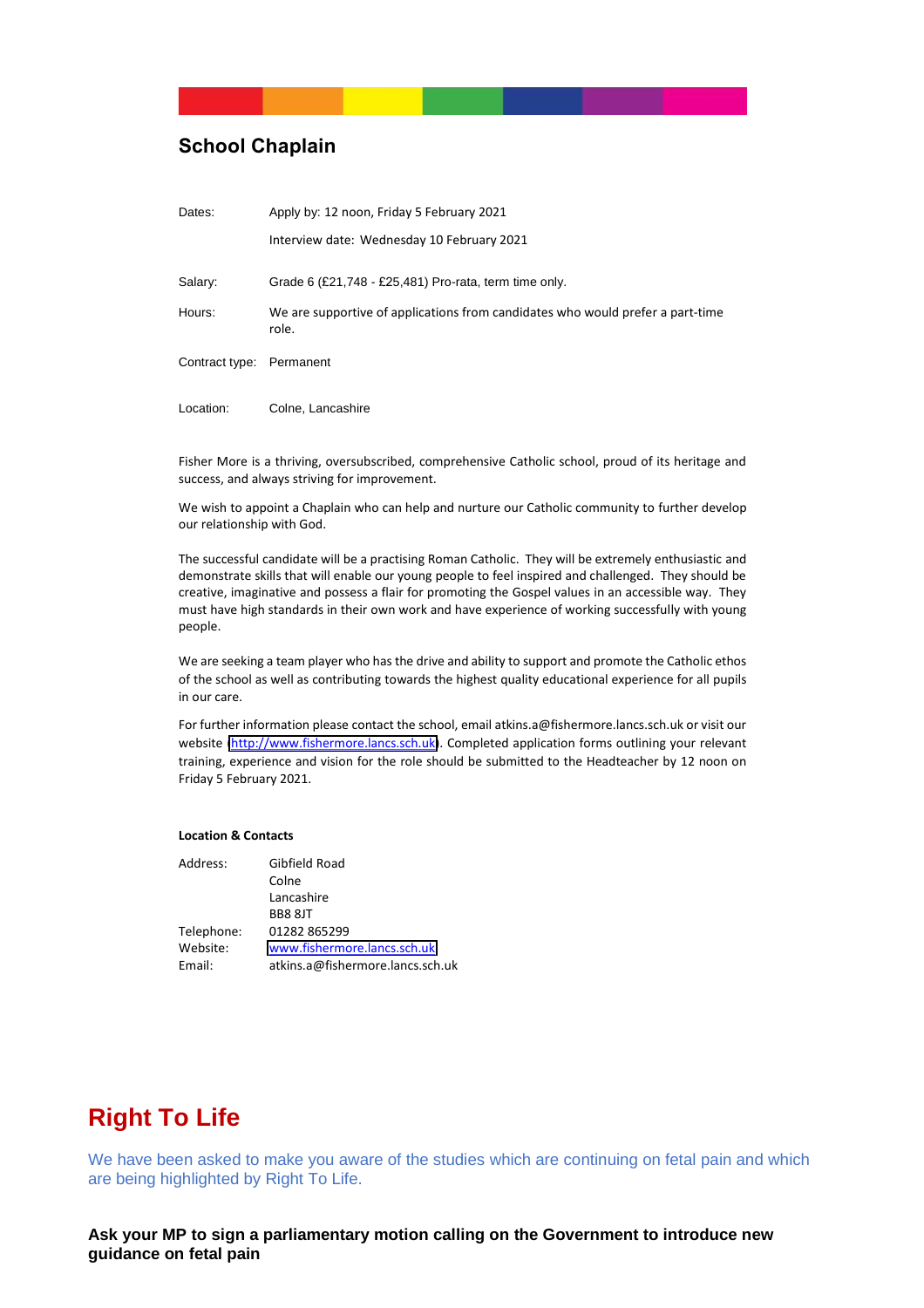#### **School Chaplain**

| Dates:                   | Apply by: 12 noon, Friday 5 February 2021                                               |
|--------------------------|-----------------------------------------------------------------------------------------|
|                          | Interview date: Wednesday 10 February 2021                                              |
| Salary:                  | Grade 6 (£21,748 - £25,481) Pro-rata, term time only.                                   |
| Hours:                   | We are supportive of applications from candidates who would prefer a part-time<br>role. |
| Contract type: Permanent |                                                                                         |
| Location:                | Colne, Lancashire                                                                       |

Fisher More is a thriving, oversubscribed, comprehensive Catholic school, proud of its heritage and success, and always striving for improvement.

We wish to appoint a Chaplain who can help and nurture our Catholic community to further develop our relationship with God.

The successful candidate will be a practising Roman Catholic. They will be extremely enthusiastic and demonstrate skills that will enable our young people to feel inspired and challenged. They should be creative, imaginative and possess a flair for promoting the Gospel values in an accessible way. They must have high standards in their own work and have experience of working successfully with young people.

We are seeking a team player who has the drive and ability to support and promote the Catholic ethos of the school as well as contributing towards the highest quality educational experience for all pupils in our care.

For further information please contact the school, email atkins.a@fishermore.lancs.sch.uk or visit our website http://www.fishermore.lancs.sch.uk). Completed application forms outlining your relevant training, experience and vision for the role should be submitted to the Headteacher by 12 noon on Friday 5 February 2021.

#### **Location & Contacts**

| Address:   | Gibfield Road                    |
|------------|----------------------------------|
|            | Colne                            |
|            | Lancashire                       |
|            | <b>BB8 8JT</b>                   |
| Telephone: | 01282 865299                     |
| Website:   | www.fishermore.lancs.sch.uk      |
| Email:     | atkins.a@fishermore.lancs.sch.uk |
|            |                                  |

## **Right To Life**

We have been asked to make you aware of the studies which are continuing on fetal pain and which are being highlighted by Right To Life.